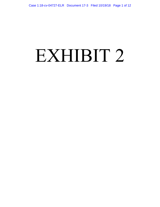# EXHIBIT 2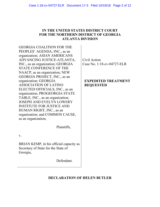## **IN THE UNITED STATES DISTRICT COURT FOR THE NORTHERN DISTRICT OF GEORGIA ATLANTA DIVISION**

GEORGIA COALITION FOR THE PEOPLES' AGENDA, INC., as an organization; ASIAN AMERICANS ADVANCING JUSTICE-ATLANTA, INC., as an organization; GEORGIA STATE CONFERENCE OF THE NAACP, as an organization; NEW GEORGIA PROJECT, INC., as an organization; GEORGIA ASSOCIATION OF LATINO ELECTED OFFICIALS, INC., as an organization; PROGEORGIA STATE TABLE, INC., as an organization; JOSEPH AND EVELYN LOWERY INSTITUTE FOR JUSTICE AND HUMAN RIGHT, INC., as an organization; and COMMON CAUSE, as an organization;

Plaintiffs,

v.

BRIAN KEMP, in his official capacity as Secretary of State for the State of Georgia,

Defendant.

Civil Action Case No. 1:18-cv-04727-ELR

# **EXPEDITED TREATMENT REQUESTED**

# **DECLARATION OF HELEN BUTLER**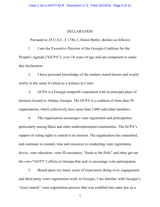## DECLARATION

Pursuant to 28 U.S.C. § 1746, I, Helen Butler, declare as follows:

1. I am the Executive Director of the Georgia Coalition for the People's Agenda ("GCPA"), over 18 years of age and am competent to make this declaration.

2. I have personal knowledge of the matters stated herein and would testify to the same if called as a witness in Court.

3. GCPA is a Georgia nonprofit corporation with its principal place of business located in Atlanta, Georgia. The GCPA is a coalition of more than 30 organizations, which collectively have more than 5,000 individual members.

4. The organization encourages voter registration and participation, particularly among Black and other underrepresented communities. The GCPA's support of voting rights is central to its mission. The organization has committed, and continues to commit, time and resources to conducting voter registration drives, voter education, voter ID assistance, "Souls to the Polls" and other get out the vote ("GOTV") efforts in Georgia that seek to encourage voter participation.

5. Based upon my many years of experience doing civic engagement and third party voter registration work in Georgia, I am familiar with Georgia's "exact match" voter registration process that was codified into state law as a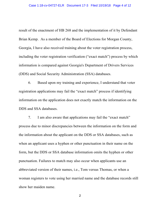result of the enactment of HB 268 and the implementation of it by Defendant Brian Kemp. As a member of the Board of Elections for Morgan County, Georgia, I have also received training about the voter registration process, including the voter registration verification ("exact match") process by which information is compared against Georgia's Department of Drivers Services (DDS) and Social Security Administration (SSA) databases.

6. Based upon my training and experience, I understand that voter registration applications may fail the "exact match" process if identifying information on the application does not exactly match the information on the DDS and SSA databases.

7. I am also aware that applications may fail the "exact match" process due to minor discrepancies between the information on the form and the information about the applicant on the DDS or SSA databases, such as when an applicant uses a hyphen or other punctuation in their name on the form, but the DDS or SSA database information omits the hyphen or other punctuation. Failures to match may also occur when applicants use an abbreviated version of their names, i.e., Tom versus Thomas, or when a woman registers to vote using her married name and the database records still show her maiden name.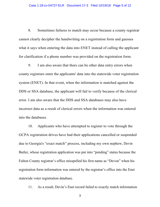8. Sometimes failures to match may occur because a county registrar cannot clearly decipher the handwriting on a registration form and guesses what it says when entering the data into ENET instead of calling the applicant for clarification if a phone number was provided on the registration form.

9. I am also aware that there can be other data entry errors when county registrars enter the applicants' data into the statewide voter registration system (ENET). In that event, when the information is matched against the DDS or SSA database, the applicant will fail to verify because of the clerical error. I am also aware that the DDS and SSA databases may also have incorrect data as a result of clerical errors when the information was entered into the databases.

10. Applicants who have attempted to register to vote through the GCPA registration drives have had their applications cancelled or suspended due to Georgia's "exact match" process, including my own nephew, Devin Butler, whose registration application was put into "pending" status because the Fulton County registrar's office misspelled his first name as "Devon" when his registration form information was entered by the registrar's office into the Enet statewide voter registration database.

11. As a result, Devin's Enet record failed to exactly match information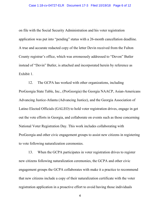on file with the Social Security Administration and his voter registration application was put into "pending" status with a 26-month cancellation deadline. A true and accurate redacted copy of the letter Devin received from the Fulton County registrar's office, which was erroneously addressed to "Devon" Butler instead of "Devin" Butler, is attached and incorporated herein by reference as Exhibit 1.

12. The GCPA has worked with other organizations, including ProGeorgia State Table, Inc., (ProGeorgia) the Georgia NAACP, Asian-Americans Advancing Justice-Atlanta (Advancing Justice), and the Georgia Association of Latino Elected Officials (GALEO) to hold voter registration drives, engage in get out the vote efforts in Georgia, and collaborate on events such as those concerning National Voter Registration Day. This work includes collaborating with ProGeorgia and other civic engagement groups to assist new citizens in registering to vote following naturalization ceremonies.

13. When the GCPA participates in voter registration drives to register new citizens following naturalization ceremonies, the GCPA and other civic engagement groups the GCPA collaborates with make it a practice to recommend that new citizens include a copy of their naturalization certificate with the voter registration application in a proactive effort to avoid having those individuals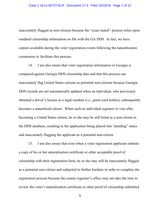inaccurately flagged as non-citizens because the "exact match" process relies upon outdated citizenship information on file with the GA DDS. In fact, we have copiers available during the voter registration events following the naturalization ceremonies to facilitate this process.

14. I am also aware that voter registration information in Georgia is compared against Georgia DDS citizenship data and that this process can inaccurately flag United States citizens as potential non-citizens because Georgia DDS records are not automatically updated when an individual, who previously obtained a driver's license as a legal resident (i.e., green card holder), subsequently becomes a naturalized citizen. When such an individual registers to vote after becoming a United States citizen, he or she may be still listed as a non-citizen in the DDS database, resulting in the application being placed into "pending" status and inaccurately flagging the applicant as a potential non-citizen.

15. I am also aware that even when a voter registration applicant submits a copy of his or her naturalization certificate or other acceptable proof of citizenship with their registration form, he or she may still be inaccurately flagged as a potential non-citizen and subjected to further burdens in order to complete the registration process because the county registrar's office may not take the time to review the voter's naturalization certificate or other proof of citizenship submitted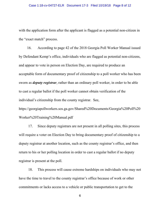with the application form after the applicant is flagged as a potential non-citizen in the "exact match" process.

16. According to page 42 of the 2018 Georgia Poll Worker Manual issued by Defendant Kemp's office, individuals who are flagged as potential non-citizens, and appear to vote in person on Election Day, are required to produce an acceptable form of documentary proof of citizenship to a poll worker who has been sworn as *deputy registrar*, rather than an ordinary poll worker, in order to be able to cast a regular ballot if the poll worker cannot obtain verification of the individual's citizenship from the county registrar. See,

https://georgiapollworkers.sos.ga.gov/Shared%20Documents/Georgia%20Poll%20 Worker%20Training%20Manual.pdf

17. Since deputy registrars are not present in all polling sites, this process will require a voter on Election Day to bring documentary proof of citizenship to a deputy registrar at another location, such as the county registrar's office, and then return to his or her polling location in order to cast a regular ballot if no deputy registrar is present at the poll.

18. This process will cause extreme hardships on individuals who may not have the time to travel to the county registrar's office because of work or other commitments or lacks access to a vehicle or public transportation to get to the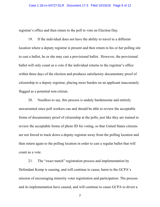registrar's office and then return to the poll to vote on Election Day.

19. If the individual does not have the ability to travel to a different location where a deputy registrar is present and then return to his or her polling site to cast a ballot, he or she may cast a provisional ballot. However, the provisional ballot will only count as a vote if the individual returns to the registrar's office within three days of the election and produces satisfactory documentary proof of citizenship to a deputy registrar, placing more burden on an applicant inaccurately flagged as a potential non-citizen.

20. Needless to say, this process is unduly burdensome and entirely unwarranted since poll workers can and should be able to review the acceptable forms of documentary proof of citizenship at the polls, just like they are trained to review the acceptable forms of photo ID for voting, so that United States citizens are not forced to track down a deputy registrar away from the polling location and then return again to the polling location in order to cast a regular ballot that will count as a vote.

21. The "exact match" registration process and implementation by Defendant Kemp is causing, and will continue to cause, harm to the GCPA's mission of encouraging minority voter registration and participation. The process and its implementation have caused, and will continue to cause GCPA to divert a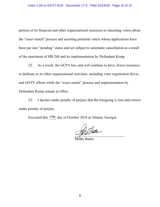portion of its financial and other organizational resources to educating voters about the "exact match" process and assisting potential voters whose applications have been put into "pending" status and are subject to automatic cancellation as a result of the enactment of HB 268 and its implementation by Defendant Kemp.

22. As a result, the GCPA has, and will continue to have, fewer resources to dedicate to its other organizational activities, including voter registration drives and GOTV efforts while the "exact match" process and implementation by Defendant Kemp remain in effect.

23. I declare under penalty of perjury that the foregoing is true and correct under penalty of perjury.

Executed this 17th day of October 2018 at Atlanta, Georgia.

Alio Auten

**Helen Butler**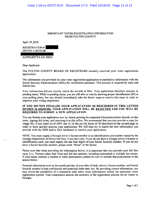### **IMPORTANT VOTER REGISTRATION INFORMATION FROM FULTON COUNTY**

April 19, 2018

**REGISTRATION #: DEVON A BUTLER** 

ALPHARETTA GA 30022

Dear Applicant:

The FULTON COUNTY BOARD OF REGISTRARS recently received your voter registration application.

The information you provided on your voter registration application is matched to information with the Social Security Administration (SSA) for verification purposes. This process is required by state and federal law

Your information did not exactly match the records at SSA. Your application therefore remains in pending status. While in pending status, you are still able to vote by showing proper identification (ID) at your polling place, but you should immediately take the below steps to resolve this issue in order to improve your voting experience.

#### IF YOU DO NOT FINALIZE YOUR APPLICATION AS DESCRIBED IN THIS LETTER WITHIN 26 MONTHS, YOUR APPLICATION WILL BE REJECTED AND YOU WILL BE REQUIRED TO SUBMIT A NEW APPLICATION.

You can finalize your application now by clearly printing the requested information below directly on this letter, signing this letter, and returning it to this office. We recommend that you also provide a copy (or image file, if you email it) of ANY one (1) of the six (6) forms of ID described on the second page in order to more quickly process your application. We will then try to match the new information you provide with the DDS and/or SSA databases to resolve your application.

NOTE: You must supply a Georgia driver's license number or an identification card number issued by the Georgia Department of Driver Services, if you have onc. If you do not have a Georgia driver's license or identification card, you must supply the last four digits of your Social Security number. If you do not have a Social Security number, please write "None" in the boxes.

Please note that when providing the information below, it is important that you provide your full first name (i.e., Thomas rather than Tom) and full last name(s), including hyphenated or multiple last names. If your name contains a hyphen or other punctuation, please be sure to include that punctuation in the spaces below.

Personal information such as the month and day of your date of birth, driver's license number, and Social Security number is kept confidential and protected under state law. By providing correct information, you may avoid the possibility of a mismatch with other voter information within the statewide voter registration system. Your cooperation assures the accuracy of the registration process for all voters in Georgia.